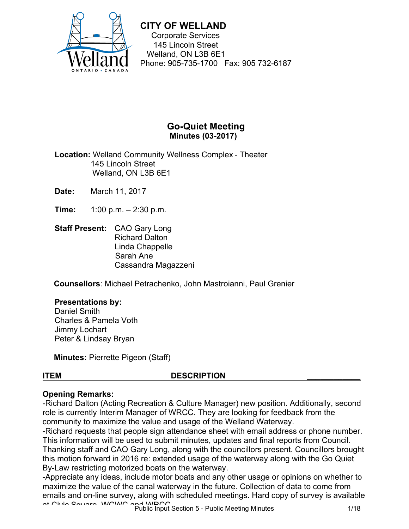

Corporate Services 145 Lincoln Street Welland, ON L3B 6E1 Phone: 905-735-1700 Fax: 905 732-6187

## **Go-Quiet Meeting Minutes (03-2017)**

**Location:** Welland Community Wellness Complex - Theater 145 Lincoln Street Welland, ON L3B 6E1

**Date:** March 11, 2017

 **Time:** 1:00 p.m. – 2:30 p.m.

 **Staff Present:** CAO Gary Long Richard Dalton Linda Chappelle Sarah Ane Cassandra Magazzeni

**Counsellors**: Michael Petrachenko, John Mastroianni, Paul Grenier

#### **Presentations by:**

Daniel Smith Charles & Pamela Voth Jimmy Lochart Peter & Lindsay Bryan

**Minutes:** Pierrette Pigeon (Staff)

#### **ITEM DESCRIPTION \_\_\_\_\_\_\_\_\_\_\_\_**

#### **Opening Remarks:**

-Richard Dalton (Acting Recreation & Culture Manager) new position. Additionally, second role is currently Interim Manager of WRCC. They are looking for feedback from the community to maximize the value and usage of the Welland Waterway.

By-Law restricting motorized boats on the waterway. -Richard requests that people sign attendance sheet with email address or phone number. This information will be used to submit minutes, updates and final reports from Council. Thanking staff and CAO Gary Long, along with the councillors present. Councillors brought this motion forward in 2016 re: extended usage of the waterway along with the Go Quiet

-Appreciate any ideas, include motor boats and any other usage or opinions on whether to maximize the value of the canal waterway in the future. Collection of data to come from emails and on-line survey, along with scheduled meetings. Hard copy of survey is available at Civic Square, WCWC and WRCC. Public Input Section 5 - Public Meeting Minutes 1/18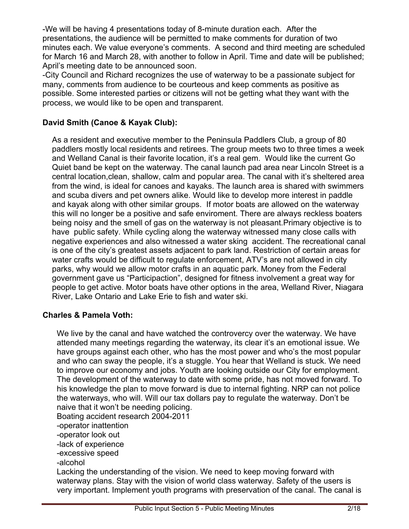-We will be having 4 presentations today of 8-minute duration each. After the presentations, the audience will be permitted to make comments for duration of two minutes each. We value everyone's comments. A second and third meeting are scheduled for March 16 and March 28, with another to follow in April. Time and date will be published; April's meeting date to be announced soon.

-City Council and Richard recognizes the use of waterway to be a passionate subject for many, comments from audience to be courteous and keep comments as positive as possible. Some interested parties or citizens will not be getting what they want with the process, we would like to be open and transparent.

## **David Smith (Canoe & Kayak Club):**

 and Welland Canal is their favorite location, it's a real gem. Would like the current Go As a resident and executive member to the Peninsula Paddlers Club, a group of 80 paddlers mostly local residents and retirees. The group meets two to three times a week Quiet band be kept on the waterway. The canal launch pad area near Lincoln Street is a central location,clean, shallow, calm and popular area. The canal with it's sheltered area from the wind, is ideal for canoes and kayaks. The launch area is shared with swimmers and scuba divers and pet owners alike. Would like to develop more interest in paddle and kayak along with other similar groups. If motor boats are allowed on the waterway this will no longer be a positive and safe enviroment. There are always reckless boaters being noisy and the smell of gas on the waterway is not pleasant.Primary objective is to have public safety. While cycling along the waterway witnessed many close calls with negative experiences and also witnessed a water sking accident. The recreational canal is one of the city's greatest assets adjacent to park land. Restriction of certain areas for water crafts would be difficult to regulate enforcement, ATV's are not allowed in city parks, why would we allow motor crafts in an aquatic park. Money from the Federal government gave us "Participaction", designed for fitness involvement a great way for people to get active. Motor boats have other options in the area, Welland River, Niagara River, Lake Ontario and Lake Erie to fish and water ski.

#### **Charles & Pamela Voth:**

We live by the canal and have watched the controvercy over the waterway. We have attended many meetings regarding the waterway, its clear it's an emotional issue. We have groups against each other, who has the most power and who's the most popular and who can sway the people, it's a stuggle. You hear that Welland is stuck. We need to improve our economy and jobs. Youth are looking outside our City for employment. The development of the waterway to date with some pride, has not moved forward. To his knowledge the plan to move forward is due to internal fighting. NRP can not police the waterways, who will. Will our tax dollars pay to regulate the waterway. Don't be naive that it won't be needing policing.

Boating accident research 2004-2011

-operator inattention

- -operator look out
- -lack of experience
- -excessive speed
- -alcohol

Lacking the understanding of the vision. We need to keep moving forward with waterway plans. Stay with the vision of world class waterway. Safety of the users is very important. Implement youth programs with preservation of the canal. The canal is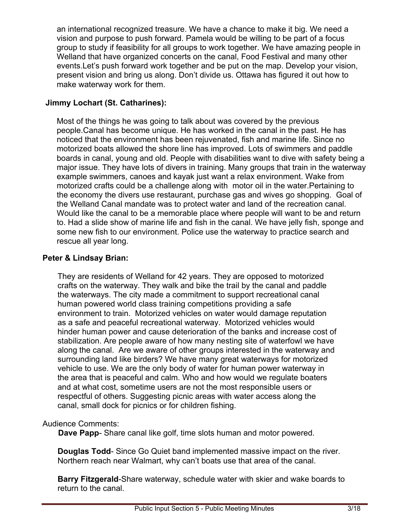an international recognized treasure. We have a chance to make it big. We need a vision and purpose to push forward. Pamela would be willing to be part of a focus group to study if feasibility for all groups to work together. We have amazing people in Welland that have organized concerts on the canal, Food Festival and many other events.Let's push forward work together and be put on the map. Develop your vision, present vision and bring us along. Don't divide us. Ottawa has figured it out how to make waterway work for them.

## **Jimmy Lochart (St. Catharines):**

Most of the things he was going to talk about was covered by the previous people.Canal has become unique. He has worked in the canal in the past. He has noticed that the environment has been rejuvenated, fish and marine life. Since no motorized boats allowed the shore line has improved. Lots of swimmers and paddle boards in canal, young and old. People with disabilities want to dive with safety being a major issue. They have lots of divers in training. Many groups that train in the waterway example swimmers, canoes and kayak just want a relax environment. Wake from motorized crafts could be a challenge along with motor oil in the water.Pertaining to the economy the divers use restaurant, purchase gas and wives go shopping. Goal of the Welland Canal mandate was to protect water and land of the recreation canal. Would like the canal to be a memorable place where people will want to be and return to. Had a slide show of marine life and fish in the canal. We have jelly fish, sponge and some new fish to our environment. Police use the waterway to practice search and rescue all year long.

## **Peter & Lindsay Brian:**

They are residents of Welland for 42 years. They are opposed to motorized crafts on the waterway. They walk and bike the trail by the canal and paddle the waterways. The city made a commitment to support recreational canal human powered world class training competitions providing a safe environment to train. Motorized vehicles on water would damage reputation as a safe and peaceful recreational waterway. Motorized vehicles would hinder human power and cause deterioration of the banks and increase cost of stabilization. Are people aware of how many nesting site of waterfowl we have along the canal. Are we aware of other groups interested in the waterway and surrounding land like birders? We have many great waterways for motorized vehicle to use. We are the only body of water for human power waterway in the area that is peaceful and calm. Who and how would we regulate boaters and at what cost, sometime users are not the most responsible users or respectful of others. Suggesting picnic areas with water access along the canal, small dock for picnics or for children fishing.

## Audience Comments:

**Dave Papp**- Share canal like golf, time slots human and motor powered.

**Douglas Todd**- Since Go Quiet band implemented massive impact on the river. Northern reach near Walmart, why can't boats use that area of the canal.

**Barry Fitzgerald**-Share waterway, schedule water with skier and wake boards to return to the canal.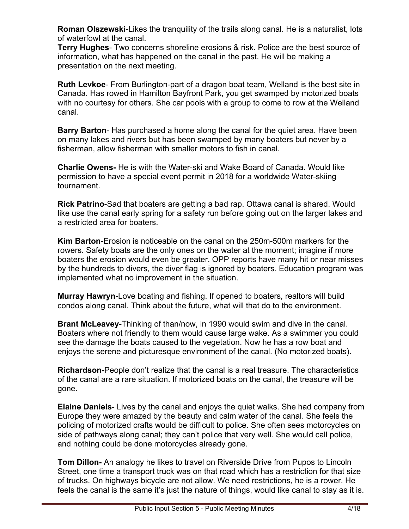**Roman Olszewski**-Likes the tranquility of the trails along canal. He is a naturalist, lots of waterfowl at the canal.

**Terry Hughes**- Two concerns shoreline erosions & risk. Police are the best source of information, what has happened on the canal in the past. He will be making a presentation on the next meeting.

**Ruth Levkoe**- From Burlington-part of a dragon boat team, Welland is the best site in Canada. Has rowed in Hamilton Bayfront Park, you get swamped by motorized boats with no courtesy for others. She car pools with a group to come to row at the Welland canal.

**Barry Barton**- Has purchased a home along the canal for the quiet area. Have been on many lakes and rivers but has been swamped by many boaters but never by a fisherman, allow fisherman with smaller motors to fish in canal.

**Charlie Owens-** He is with the Water-ski and Wake Board of Canada. Would like permission to have a special event permit in 2018 for a worldwide Water-skiing tournament.

**Rick Patrino**-Sad that boaters are getting a bad rap. Ottawa canal is shared. Would like use the canal early spring for a safety run before going out on the larger lakes and a restricted area for boaters.

**Kim Barton**-Erosion is noticeable on the canal on the 250m-500m markers for the rowers. Safety boats are the only ones on the water at the moment; imagine if more boaters the erosion would even be greater. OPP reports have many hit or near misses by the hundreds to divers, the diver flag is ignored by boaters. Education program was implemented what no improvement in the situation.

**Murray Hawryn-**Love boating and fishing. If opened to boaters, realtors will build condos along canal. Think about the future, what will that do to the environment.

**Brant McLeavey**-Thinking of than/now, in 1990 would swim and dive in the canal. Boaters where not friendly to them would cause large wake. As a swimmer you could see the damage the boats caused to the vegetation. Now he has a row boat and enjoys the serene and picturesque environment of the canal. (No motorized boats).

**Richardson-**People don't realize that the canal is a real treasure. The characteristics of the canal are a rare situation. If motorized boats on the canal, the treasure will be gone.

**Elaine Daniels**- Lives by the canal and enjoys the quiet walks. She had company from Europe they were amazed by the beauty and calm water of the canal. She feels the policing of motorized crafts would be difficult to police. She often sees motorcycles on side of pathways along canal; they can't police that very well. She would call police, and nothing could be done motorcycles already gone.

**Tom Dillon-** An analogy he likes to travel on Riverside Drive from Pupos to Lincoln Street, one time a transport truck was on that road which has a restriction for that size of trucks. On highways bicycle are not allow. We need restrictions, he is a rower. He feels the canal is the same it's just the nature of things, would like canal to stay as it is.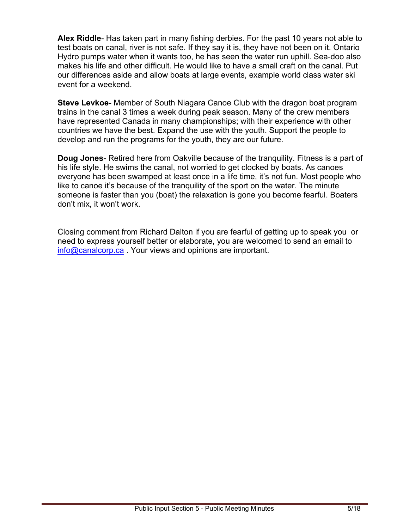**Alex Riddle**- Has taken part in many fishing derbies. For the past 10 years not able to test boats on canal, river is not safe. If they say it is, they have not been on it. Ontario Hydro pumps water when it wants too, he has seen the water run uphill. Sea-doo also makes his life and other difficult. He would like to have a small craft on the canal. Put our differences aside and allow boats at large events, example world class water ski event for a weekend.

**Steve Levkoe**- Member of South Niagara Canoe Club with the dragon boat program trains in the canal 3 times a week during peak season. Many of the crew members have represented Canada in many championships; with their experience with other countries we have the best. Expand the use with the youth. Support the people to develop and run the programs for the youth, they are our future.

**Doug Jones**- Retired here from Oakville because of the tranquility. Fitness is a part of his life style. He swims the canal, not worried to get clocked by boats. As canoes everyone has been swamped at least once in a life time, it's not fun. Most people who like to canoe it's because of the tranquility of the sport on the water. The minute someone is faster than you (boat) the relaxation is gone you become fearful. Boaters don't mix, it won't work.

Closing comment from Richard Dalton if you are fearful of getting up to speak you or need to express yourself better or elaborate, you are welcomed to send an email to [info@canalcorp.ca](mailto:info@canalcorp.ca) . Your views and opinions are important.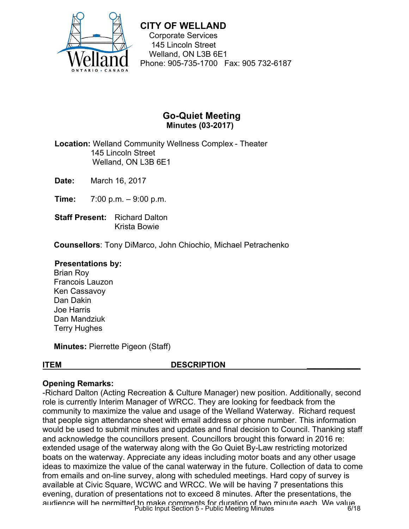

Corporate Services 145 Lincoln Street Welland, ON L3B 6E1 Phone: 905-735-1700 Fax: 905 732-6187

## **Go-Quiet Meeting Minutes (03-2017)**

 **Location:** Welland Community Wellness Complex - Theater 145 Lincoln Street Welland, ON L3B 6E1

**Date:** March 16, 2017

 **Time:** 7:00 p.m. – 9:00 p.m.

**Staff Present: Richard Dalton** Krista Bowie

**Counsellors**: Tony DiMarco, John Chiochio, Michael Petrachenko

#### **Presentations by:**

Brian Roy Francois Lauzon Ken Cassavoy Dan Dakin Joe Harris Dan Mandziuk Terry Hughes

**Minutes:** Pierrette Pigeon (Staff)

#### **ITEM DESCRIPTION \_\_\_\_\_\_\_\_\_\_\_\_**

#### **Opening Remarks:**

-Richard Dalton (Acting Recreation & Culture Manager) new position. Additionally, second role is currently Interim Manager of WRCC. They are looking for feedback from the community to maximize the value and usage of the Welland Waterway. Richard request that people sign attendance sheet with email address or phone number. This information would be used to submit minutes and updates and final decision to Council. Thanking staff and acknowledge the councillors present. Councillors brought this forward in 2016 re: extended usage of the waterway along with the Go Quiet By-Law restricting motorized boats on the waterway. Appreciate any ideas including motor boats and any other usage ideas to maximize the value of the canal waterway in the future. Collection of data to come from emails and on-line survey, along with scheduled meetings. Hard copy of survey is available at Civic Square, WCWC and WRCC. We will be having 7 presentations this evening, duration of presentations not to exceed 8 minutes. After the presentations, the audience will be permitted to make comments for duration of two minute each. We value Public Input Section 5 - Public Meeting Minutes 6/18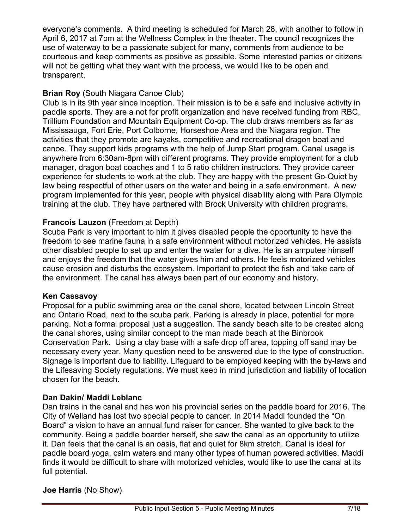everyone's comments. A third meeting is scheduled for March 28, with another to follow in April 6, 2017 at 7pm at the Wellness Complex in the theater. The council recognizes the use of waterway to be a passionate subject for many, comments from audience to be courteous and keep comments as positive as possible. Some interested parties or citizens will not be getting what they want with the process, we would like to be open and transparent.

## **Brian Roy** (South Niagara Canoe Club)

Club is in its 9th year since inception. Their mission is to be a safe and inclusive activity in paddle sports. They are a not for profit organization and have received funding from RBC, Trillium Foundation and Mountain Equipment Co-op. The club draws members as far as Mississauga, Fort Erie, Port Colborne, Horseshoe Area and the Niagara region. The activities that they promote are kayaks, competitive and recreational dragon boat and canoe. They support kids programs with the help of Jump Start program. Canal usage is anywhere from 6:30am-8pm with different programs. They provide employment for a club manager, dragon boat coaches and 1 to 5 ratio children instructors. They provide career experience for students to work at the club. They are happy with the present Go-Quiet by law being respectful of other users on the water and being in a safe environment. A new program implemented for this year, people with physical disability along with Para Olympic training at the club. They have partnered with Brock University with children programs.

## **Francois Lauzon** (Freedom at Depth)

Scuba Park is very important to him it gives disabled people the opportunity to have the freedom to see marine fauna in a safe environment without motorized vehicles. He assists other disabled people to set up and enter the water for a dive. He is an amputee himself and enjoys the freedom that the water gives him and others. He feels motorized vehicles cause erosion and disturbs the ecosystem. Important to protect the fish and take care of the environment. The canal has always been part of our economy and history.

## **Ken Cassavoy**

Proposal for a public swimming area on the canal shore, located between Lincoln Street and Ontario Road, next to the scuba park. Parking is already in place, potential for more parking. Not a formal proposal just a suggestion. The sandy beach site to be created along the canal shores, using similar concept to the man made beach at the Binbrook Conservation Park. Using a clay base with a safe drop off area, topping off sand may be necessary every year. Many question need to be answered due to the type of construction. Signage is important due to liability. Lifeguard to be employed keeping with the by-laws and the Lifesaving Society regulations. We must keep in mind jurisdiction and liability of location chosen for the beach.

## **Dan Dakin/ Maddi Leblanc**

Dan trains in the canal and has won his provincial series on the paddle board for 2016. The City of Welland has lost two special people to cancer. In 2014 Maddi founded the "On Board" a vision to have an annual fund raiser for cancer. She wanted to give back to the community. Being a paddle boarder herself, she saw the canal as an opportunity to utilize it. Dan feels that the canal is an oasis, flat and quiet for 8km stretch. Canal is ideal for paddle board yoga, calm waters and many other types of human powered activities. Maddi finds it would be difficult to share with motorized vehicles, would like to use the canal at its full potential.

## **Joe Harris** (No Show)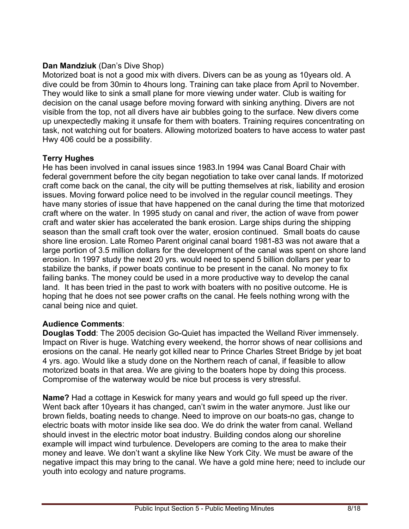## **Dan Mandziuk** (Dan's Dive Shop)

Motorized boat is not a good mix with divers. Divers can be as young as 10years old. A dive could be from 30min to 4hours long. Training can take place from April to November. They would like to sink a small plane for more viewing under water. Club is waiting for decision on the canal usage before moving forward with sinking anything. Divers are not visible from the top, not all divers have air bubbles going to the surface. New divers come up unexpectedly making it unsafe for them with boaters. Training requires concentrating on task, not watching out for boaters. Allowing motorized boaters to have access to water past Hwy 406 could be a possibility.

## **Terry Hughes**

He has been involved in canal issues since 1983.In 1994 was Canal Board Chair with federal government before the city began negotiation to take over canal lands. If motorized craft come back on the canal, the city will be putting themselves at risk, liability and erosion issues. Moving forward police need to be involved in the regular council meetings. They have many stories of issue that have happened on the canal during the time that motorized craft where on the water. In 1995 study on canal and river, the action of wave from power craft and water skier has accelerated the bank erosion. Large ships during the shipping season than the small craft took over the water, erosion continued. Small boats do cause shore line erosion. Late Romeo Parent original canal board 1981-83 was not aware that a large portion of 3.5 million dollars for the development of the canal was spent on shore land erosion. In 1997 study the next 20 yrs. would need to spend 5 billion dollars per year to stabilize the banks, if power boats continue to be present in the canal. No money to fix failing banks. The money could be used in a more productive way to develop the canal land. It has been tried in the past to work with boaters with no positive outcome. He is hoping that he does not see power crafts on the canal. He feels nothing wrong with the canal being nice and quiet.

## **Audience Comments**:

**Douglas Todd**: The 2005 decision Go-Quiet has impacted the Welland River immensely. Impact on River is huge. Watching every weekend, the horror shows of near collisions and erosions on the canal. He nearly got killed near to Prince Charles Street Bridge by jet boat 4 yrs. ago. Would like a study done on the Northern reach of canal, if feasible to allow motorized boats in that area. We are giving to the boaters hope by doing this process. Compromise of the waterway would be nice but process is very stressful.

**Name?** Had a cottage in Keswick for many years and would go full speed up the river. Went back after 10years it has changed, can't swim in the water anymore. Just like our brown fields, boating needs to change. Need to improve on our boats-no gas, change to electric boats with motor inside like sea doo. We do drink the water from canal. Welland should invest in the electric motor boat industry. Building condos along our shoreline example will impact wind turbulence. Developers are coming to the area to make their money and leave. We don't want a skyline like New York City. We must be aware of the negative impact this may bring to the canal. We have a gold mine here; need to include our youth into ecology and nature programs.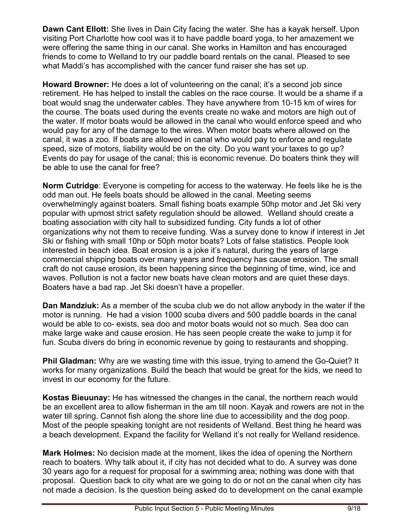**Dawn Cant Ellott:** She lives in Dain City facing the water. She has a kayak herself. Upon visiting Port Charlotte how cool was it to have paddle board yoga, to her amazement we were offering the same thing in our canal. She works in Hamilton and has encouraged friends to come to Welland to try our paddle board rentals on the canal. Pleased to see what Maddi's has accomplished with the cancer fund raiser she has set up.

 the course. The boats used during the events create no wake and motors are high out of **Howard Browner:** He does a lot of volunteering on the canal; it's a second job since retirement. He has helped to install the cables on the race course. It would be a shame if a boat would snag the underwater cables. They have anywhere from 10-15 km of wires for the water. If motor boats would be allowed in the canal who would enforce speed and who would pay for any of the damage to the wires. When motor boats where allowed on the canal, it was a zoo. If boats are allowed in canal who would pay to enforce and regulate speed, size of motors, liability would be on the city. Do you want your taxes to go up? Events do pay for usage of the canal; this is economic revenue. Do boaters think they will be able to use the canal for free?

**Norm Cutridge**: Everyone is competing for access to the waterway. He feels like he is the odd man out. He feels boats should be allowed in the canal. Meeting seems overwhelmingly against boaters. Small fishing boats example 50hp motor and Jet Ski very popular with upmost strict safety regulation should be allowed. Welland should create a boating association with city hall to subsidized funding. City funds a lot of other organizations why not them to receive funding. Was a survey done to know if interest in Jet Ski or fishing with small 10hp or 50ph motor boats? Lots of false statistics. People look interested in beach idea. Boat erosion is a joke it's natural, during the years of large commercial shipping boats over many years and frequency has cause erosion. The small craft do not cause erosion, its been happening since the beginning of time, wind, ice and waves. Pollution is not a factor new boats have clean motors and are quiet these days. Boaters have a bad rap. Jet Ski doesn't have a propeller.

**Dan Mandziuk:** As a member of the scuba club we do not allow anybody in the water if the motor is running. He had a vision 1000 scuba divers and 500 paddle boards in the canal would be able to co- exists, sea doo and motor boats would not so much. Sea doo can make large wake and cause erosion. He has seen people create the wake to jump it for fun. Scuba divers do bring in economic revenue by going to restaurants and shopping.

**Phil Gladman:** Why are we wasting time with this issue, trying to amend the Go-Quiet? It works for many organizations. Build the beach that would be great for the kids, we need to invest in our economy for the future.

**Kostas Bieuunay:** He has witnessed the changes in the canal, the northern reach would be an excellent area to allow fisherman in the am till noon. Kayak and rowers are not in the water till spring. Cannot fish along the shore line due to accessibility and the dog poop. Most of the people speaking tonight are not residents of Welland. Best thing he heard was a beach development. Expand the facility for Welland it's not really for Welland residence.

**Mark Holmes:** No decision made at the moment, likes the idea of opening the Northern reach to boaters. Why talk about it, if city has not decided what to do. A survey was done 30 years ago for a request for proposal for a swimming area; nothing was done with that proposal. Question back to city what are we going to do or not on the canal when city has not made a decision. Is the question being asked do to development on the canal example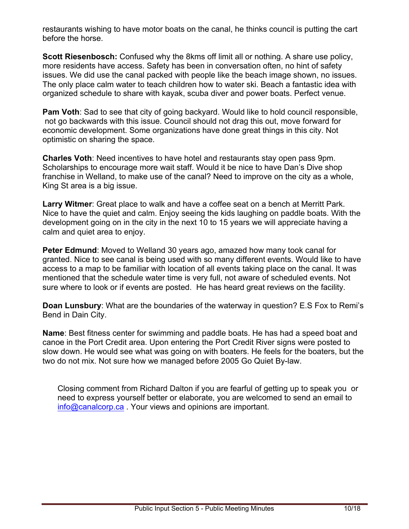restaurants wishing to have motor boats on the canal, he thinks council is putting the cart before the horse.

**Scott Riesenbosch:** Confused why the 8kms off limit all or nothing. A share use policy, more residents have access. Safety has been in conversation often, no hint of safety issues. We did use the canal packed with people like the beach image shown, no issues. The only place calm water to teach children how to water ski. Beach a fantastic idea with organized schedule to share with kayak, scuba diver and power boats. Perfect venue.

**Pam Voth:** Sad to see that city of going backyard. Would like to hold council responsible, not go backwards with this issue. Council should not drag this out, move forward for economic development. Some organizations have done great things in this city. Not optimistic on sharing the space.

**Charles Voth**: Need incentives to have hotel and restaurants stay open pass 9pm. Scholarships to encourage more wait staff. Would it be nice to have Dan's Dive shop franchise in Welland, to make use of the canal? Need to improve on the city as a whole, King St area is a big issue.

**Larry Witmer**: Great place to walk and have a coffee seat on a bench at Merritt Park. Nice to have the quiet and calm. Enjoy seeing the kids laughing on paddle boats. With the development going on in the city in the next 10 to 15 years we will appreciate having a calm and quiet area to enjoy.

 sure where to look or if events are posted. He has heard great reviews on the facility. **Peter Edmund**: Moved to Welland 30 years ago, amazed how many took canal for granted. Nice to see canal is being used with so many different events. Would like to have access to a map to be familiar with location of all events taking place on the canal. It was mentioned that the schedule water time is very full, not aware of scheduled events. Not

**Doan Lunsbury**: What are the boundaries of the waterway in question? E.S Fox to Remi's Bend in Dain City.

**Name**: Best fitness center for swimming and paddle boats. He has had a speed boat and canoe in the Port Credit area. Upon entering the Port Credit River signs were posted to slow down. He would see what was going on with boaters. He feels for the boaters, but the two do not mix. Not sure how we managed before 2005 Go Quiet By-law.

Closing comment from Richard Dalton if you are fearful of getting up to speak you or need to express yourself better or elaborate, you are welcomed to send an email to [info@canalcorp.ca](mailto:info@canalcorp.ca) . Your views and opinions are important.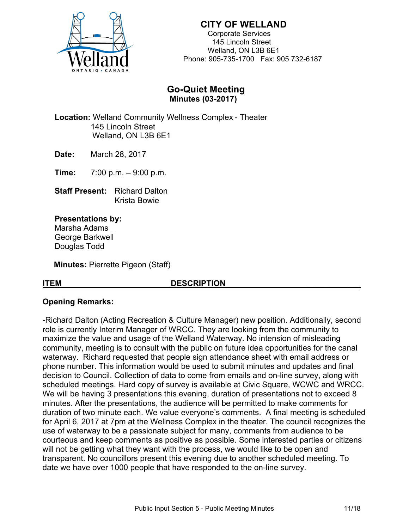

Corporate Services 145 Lincoln Street Welland, ON L3B 6E1 Phone: 905-735-1700 Fax: 905 732-6187

## **Go-Quiet Meeting Minutes (03-2017)**

 **Location:** Welland Community Wellness Complex - Theater 145 Lincoln Street Welland, ON L3B 6E1

**Date:** March 28, 2017

 **Time:** 7:00 p.m. – 9:00 p.m.

 **Staff Present:** Richard Dalton Krista Bowie

**Presentations by:**  Marsha Adams George Barkwell Douglas Todd

**Minutes:** Pierrette Pigeon (Staff)

#### **ITEM DESCRIPTION**

## **Opening Remarks:**

-Richard Dalton (Acting Recreation & Culture Manager) new position. Additionally, second role is currently Interim Manager of WRCC. They are looking from the community to maximize the value and usage of the Welland Waterway. No intension of misleading community, meeting is to consult with the public on future idea opportunities for the canal waterway. Richard requested that people sign attendance sheet with email address or phone number. This information would be used to submit minutes and updates and final decision to Council. Collection of data to come from emails and on-line survey, along with scheduled meetings. Hard copy of survey is available at Civic Square, WCWC and WRCC. We will be having 3 presentations this evening, duration of presentations not to exceed 8 minutes. After the presentations, the audience will be permitted to make comments for duration of two minute each. We value everyone's comments. A final meeting is scheduled for April 6, 2017 at 7pm at the Wellness Complex in the theater. The council recognizes the use of waterway to be a passionate subject for many, comments from audience to be courteous and keep comments as positive as possible. Some interested parties or citizens will not be getting what they want with the process, we would like to be open and transparent. No councillors present this evening due to another scheduled meeting. To date we have over 1000 people that have responded to the on-line survey.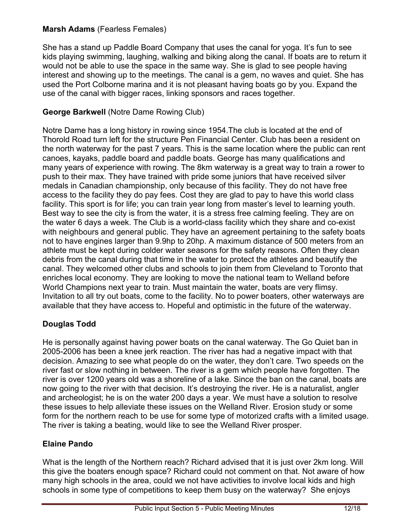## **Marsh Adams** (Fearless Females)

She has a stand up Paddle Board Company that uses the canal for yoga. It's fun to see kids playing swimming, laughing, walking and biking along the canal. If boats are to return it would not be able to use the space in the same way. She is glad to see people having interest and showing up to the meetings. The canal is a gem, no waves and quiet. She has used the Port Colborne marina and it is not pleasant having boats go by you. Expand the use of the canal with bigger races, linking sponsors and races together.

## **George Barkwell** (Notre Dame Rowing Club)

Notre Dame has a long history in rowing since 1954.The club is located at the end of Thorold Road turn left for the structure Pen Financial Center. Club has been a resident on the north waterway for the past 7 years. This is the same location where the public can rent canoes, kayaks, paddle board and paddle boats. George has many qualifications and many years of experience with rowing. The 8km waterway is a great way to train a rower to push to their max. They have trained with pride some juniors that have received silver medals in Canadian championship, only because of this facility. They do not have free access to the facility they do pay fees. Cost they are glad to pay to have this world class facility. This sport is for life; you can train year long from master's level to learning youth. Best way to see the city is from the water, it is a stress free calming feeling. They are on the water 6 days a week. The Club is a world-class facility which they share and co-exist with neighbours and general public. They have an agreement pertaining to the safety boats not to have engines larger than 9.9hp to 20hp. A maximum distance of 500 meters from an athlete must be kept during colder water seasons for the safety reasons. Often they clean debris from the canal during that time in the water to protect the athletes and beautify the canal. They welcomed other clubs and schools to join them from Cleveland to Toronto that enriches local economy. They are looking to move the national team to Welland before World Champions next year to train. Must maintain the water, boats are very flimsy. Invitation to all try out boats, come to the facility. No to power boaters, other waterways are available that they have access to. Hopeful and optimistic in the future of the waterway.

## **Douglas Todd**

He is personally against having power boats on the canal waterway. The Go Quiet ban in 2005-2006 has been a knee jerk reaction. The river has had a negative impact with that decision. Amazing to see what people do on the water, they don't care. Two speeds on the river fast or slow nothing in between. The river is a gem which people have forgotten. The river is over 1200 years old was a shoreline of a lake. Since the ban on the canal, boats are now going to the river with that decision. It's destroying the river. He is a naturalist, angler and archeologist; he is on the water 200 days a year. We must have a solution to resolve these issues to help alleviate these issues on the Welland River. Erosion study or some form for the northern reach to be use for some type of motorized crafts with a limited usage. The river is taking a beating, would like to see the Welland River prosper.

## **Elaine Pando**

What is the length of the Northern reach? Richard advised that it is just over 2km long. Will this give the boaters enough space? Richard could not comment on that. Not aware of how many high schools in the area, could we not have activities to involve local kids and high schools in some type of competitions to keep them busy on the waterway? She enjoys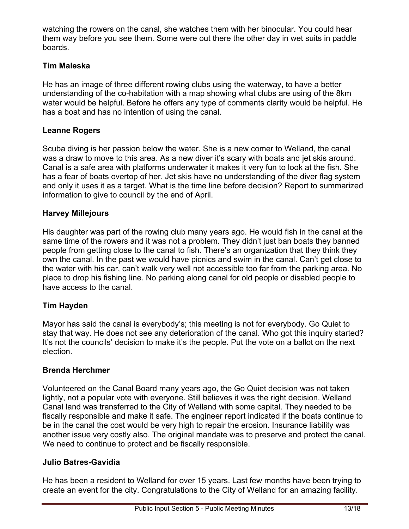watching the rowers on the canal, she watches them with her binocular. You could hear them way before you see them. Some were out there the other day in wet suits in paddle boards.

## **Tim Maleska**

 has a boat and has no intention of using the canal. He has an image of three different rowing clubs using the waterway, to have a better understanding of the co-habitation with a map showing what clubs are using of the 8km water would be helpful. Before he offers any type of comments clarity would be helpful. He

## **Leanne Rogers**

Scuba diving is her passion below the water. She is a new comer to Welland, the canal was a draw to move to this area. As a new diver it's scary with boats and jet skis around. Canal is a safe area with platforms underwater it makes it very fun to look at the fish. She has a fear of boats overtop of her. Jet skis have no understanding of the diver flag system and only it uses it as a target. What is the time line before decision? Report to summarized information to give to council by the end of April.

## **Harvey Millejours**

His daughter was part of the rowing club many years ago. He would fish in the canal at the same time of the rowers and it was not a problem. They didn't just ban boats they banned people from getting close to the canal to fish. There's an organization that they think they own the canal. In the past we would have picnics and swim in the canal. Can't get close to the water with his car, can't walk very well not accessible too far from the parking area. No place to drop his fishing line. No parking along canal for old people or disabled people to have access to the canal.

## **Tim Hayden**

Mayor has said the canal is everybody's; this meeting is not for everybody. Go Quiet to stay that way. He does not see any deterioration of the canal. Who got this inquiry started? It's not the councils' decision to make it's the people. Put the vote on a ballot on the next election.

## **Brenda Herchmer**

Volunteered on the Canal Board many years ago, the Go Quiet decision was not taken lightly, not a popular vote with everyone. Still believes it was the right decision. Welland Canal land was transferred to the City of Welland with some capital. They needed to be fiscally responsible and make it safe. The engineer report indicated if the boats continue to be in the canal the cost would be very high to repair the erosion. Insurance liability was another issue very costly also. The original mandate was to preserve and protect the canal. We need to continue to protect and be fiscally responsible.

## **Julio Batres-Gavidia**

He has been a resident to Welland for over 15 years. Last few months have been trying to create an event for the city. Congratulations to the City of Welland for an amazing facility.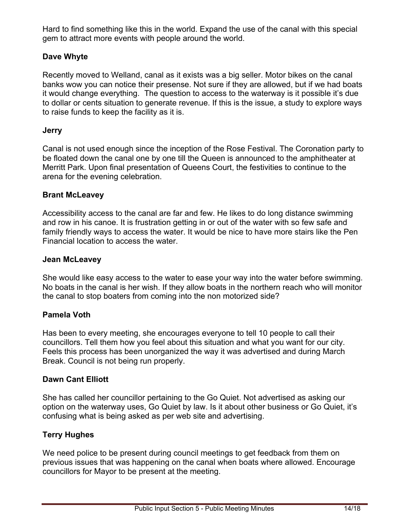Hard to find something like this in the world. Expand the use of the canal with this special gem to attract more events with people around the world.

## **Dave Whyte**

Recently moved to Welland, canal as it exists was a big seller. Motor bikes on the canal banks wow you can notice their presense. Not sure if they are allowed, but if we had boats it would change everything. The question to access to the waterway is it possible it's due to dollar or cents situation to generate revenue. If this is the issue, a study to explore ways to raise funds to keep the facility as it is.

## **Jerry**

Canal is not used enough since the inception of the Rose Festival. The Coronation party to be floated down the canal one by one till the Queen is announced to the amphitheater at Merritt Park. Upon final presentation of Queens Court, the festivities to continue to the arena for the evening celebration.

#### **Brant McLeavey**

Accessibility access to the canal are far and few. He likes to do long distance swimming and row in his canoe. It is frustration getting in or out of the water with so few safe and family friendly ways to access the water. It would be nice to have more stairs like the Pen Financial location to access the water.

#### **Jean McLeavey**

She would like easy access to the water to ease your way into the water before swimming. No boats in the canal is her wish. If they allow boats in the northern reach who will monitor the canal to stop boaters from coming into the non motorized side?

## **Pamela Voth**

Has been to every meeting, she encourages everyone to tell 10 people to call their councillors. Tell them how you feel about this situation and what you want for our city. Feels this process has been unorganized the way it was advertised and during March Break. Council is not being run properly.

## **Dawn Cant Elliott**

She has called her councillor pertaining to the Go Quiet. Not advertised as asking our option on the waterway uses, Go Quiet by law. Is it about other business or Go Quiet, it's confusing what is being asked as per web site and advertising.

## **Terry Hughes**

We need police to be present during council meetings to get feedback from them on previous issues that was happening on the canal when boats where allowed. Encourage councillors for Mayor to be present at the meeting.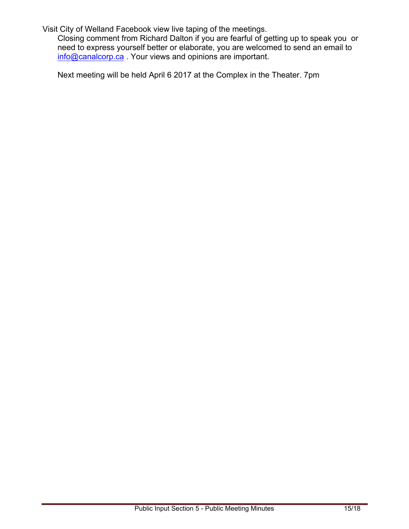Visit City of Welland Facebook view live taping of the meetings.

Closing comment from Richard Dalton if you are fearful of getting up to speak you or need to express yourself better or elaborate, you are welcomed to send an email to [info@canalcorp.ca](mailto:info@canalcorp.ca) . Your views and opinions are important.

Next meeting will be held April 6 2017 at the Complex in the Theater. 7pm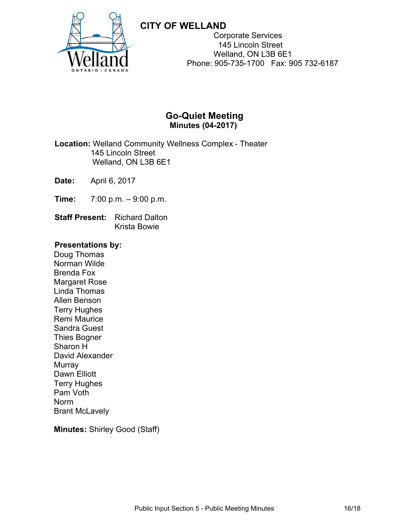

Corporate Services 145 Lincoln Street Welland, ON L3B 6E1 Phone: 905-735-1700 Fax: 905 732-6187

## **Go-Quiet Meeting Minutes (04-2017)**

 **Location:** Welland Community Wellness Complex - Theater 145 Lincoln Street Welland, ON L3B 6E1

**Date:** April 6, 2017

- **Time:** 7:00 p.m. 9:00 p.m.
- **Staff Present:** Richard Dalton Krista Bowie

#### **Presentations by:**

Doug Thomas Norman Wilde Brenda Fox Margaret Rose Linda Thomas Allen Benson Terry Hughes Remi Maurice Sandra Guest Thies Bogner Sharon H David Alexander Murray Dawn Elliott Terry Hughes Pam Voth Norm Brant McLavely

**Minutes:** Shirley Good (Staff)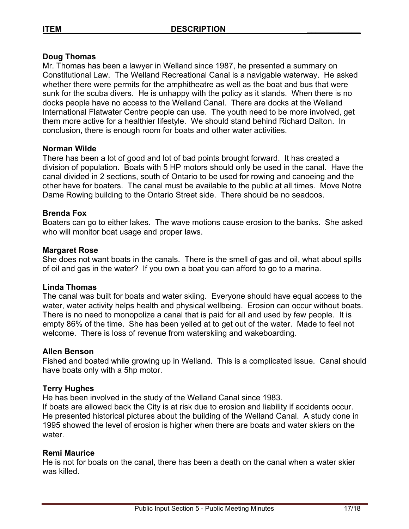#### **Doug Thomas**

Mr. Thomas has been a lawyer in Welland since 1987, he presented a summary on Constitutional Law. The Welland Recreational Canal is a navigable waterway. He asked whether there were permits for the amphitheatre as well as the boat and bus that were sunk for the scuba divers. He is unhappy with the policy as it stands. When there is no docks people have no access to the Welland Canal. There are docks at the Welland International Flatwater Centre people can use. The youth need to be more involved, get them more active for a healthier lifestyle. We should stand behind Richard Dalton. In conclusion, there is enough room for boats and other water activities.

#### **Norman Wilde**

There has been a lot of good and lot of bad points brought forward. It has created a division of population. Boats with 5 HP motors should only be used in the canal. Have the canal divided in 2 sections, south of Ontario to be used for rowing and canoeing and the other have for boaters. The canal must be available to the public at all times. Move Notre Dame Rowing building to the Ontario Street side. There should be no seadoos.

#### **Brenda Fox**

Boaters can go to either lakes. The wave motions cause erosion to the banks. She asked who will monitor boat usage and proper laws.

#### **Margaret Rose**

She does not want boats in the canals. There is the smell of gas and oil, what about spills of oil and gas in the water? If you own a boat you can afford to go to a marina.

#### **Linda Thomas**

The canal was built for boats and water skiing. Everyone should have equal access to the water, water activity helps health and physical wellbeing. Erosion can occur without boats. There is no need to monopolize a canal that is paid for all and used by few people. It is empty 86% of the time. She has been yelled at to get out of the water. Made to feel not welcome. There is loss of revenue from waterskiing and wakeboarding.

#### **Allen Benson**

Fished and boated while growing up in Welland. This is a complicated issue. Canal should have boats only with a 5hp motor.

#### **Terry Hughes**

He has been involved in the study of the Welland Canal since 1983.

If boats are allowed back the City is at risk due to erosion and liability if accidents occur. He presented historical pictures about the building of the Welland Canal. A study done in 1995 showed the level of erosion is higher when there are boats and water skiers on the water.

#### **Remi Maurice**

He is not for boats on the canal, there has been a death on the canal when a water skier was killed.